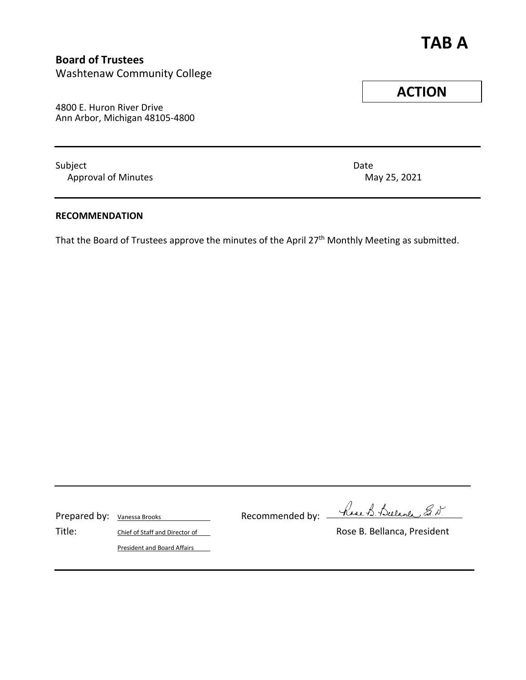# **TAB A**

## **Board of Trustees**

Washtenaw Community College

4800 E. Huron River Drive Ann Arbor, Michigan 48105-4800

Subject **Date** Approval of Minutes **May 25, 2021** 

#### **RECOMMENDATION**

That the Board of Trustees approve the minutes of the April 27<sup>th</sup> Monthly Meeting as submitted.

Prepared by: Vanessa Brooks Recommended by: -

have B. Bulance Ed. D.

President and Board Affairs

Title: Chief of Staff and Director of Chief Chief Alberta Rose B. Bellanca, President

**ACTION**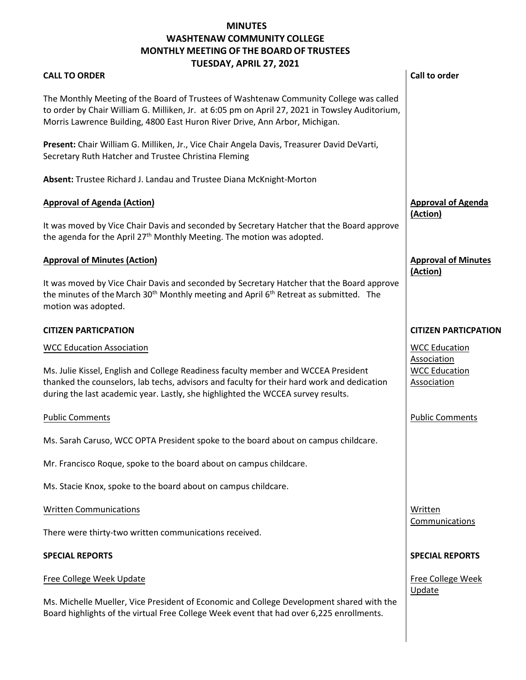### **MINUTES WASHTENAW COMMUNITY COLLEGE MONTHLY MEETING OF THE BOARD OF TRUSTEES TUESDAY, APRIL 27, 2021**

|                                                                                                                                                                                      | TUESDAT, APNIL 27, 2021                                                                                                                                                                                    |                                        |  |
|--------------------------------------------------------------------------------------------------------------------------------------------------------------------------------------|------------------------------------------------------------------------------------------------------------------------------------------------------------------------------------------------------------|----------------------------------------|--|
| <b>CALL TO ORDER</b>                                                                                                                                                                 |                                                                                                                                                                                                            | <b>Call to order</b>                   |  |
| Morris Lawrence Building, 4800 East Huron River Drive, Ann Arbor, Michigan.                                                                                                          | The Monthly Meeting of the Board of Trustees of Washtenaw Community College was called<br>to order by Chair William G. Milliken, Jr. at 6:05 pm on April 27, 2021 in Towsley Auditorium,                   |                                        |  |
| Secretary Ruth Hatcher and Trustee Christina Fleming                                                                                                                                 | Present: Chair William G. Milliken, Jr., Vice Chair Angela Davis, Treasurer David DeVarti,                                                                                                                 |                                        |  |
| Absent: Trustee Richard J. Landau and Trustee Diana McKnight-Morton                                                                                                                  |                                                                                                                                                                                                            |                                        |  |
| <b>Approval of Agenda (Action)</b>                                                                                                                                                   |                                                                                                                                                                                                            | <b>Approval of Agenda</b><br>(Action)  |  |
| the agenda for the April 27 <sup>th</sup> Monthly Meeting. The motion was adopted.                                                                                                   | It was moved by Vice Chair Davis and seconded by Secretary Hatcher that the Board approve                                                                                                                  |                                        |  |
| <b>Approval of Minutes (Action)</b>                                                                                                                                                  |                                                                                                                                                                                                            | <b>Approval of Minutes</b><br>(Action) |  |
| motion was adopted.                                                                                                                                                                  | It was moved by Vice Chair Davis and seconded by Secretary Hatcher that the Board approve<br>the minutes of the March 30 <sup>th</sup> Monthly meeting and April 6 <sup>th</sup> Retreat as submitted. The |                                        |  |
| <b>CITIZEN PARTICPATION</b>                                                                                                                                                          |                                                                                                                                                                                                            | <b>CITIZEN PARTICPATION</b>            |  |
| <b>WCC Education Association</b>                                                                                                                                                     |                                                                                                                                                                                                            | <b>WCC Education</b><br>Association    |  |
| during the last academic year. Lastly, she highlighted the WCCEA survey results.                                                                                                     | Ms. Julie Kissel, English and College Readiness faculty member and WCCEA President<br>thanked the counselors, lab techs, advisors and faculty for their hard work and dedication                           | <b>WCC Education</b><br>Association    |  |
| <b>Public Comments</b>                                                                                                                                                               |                                                                                                                                                                                                            | <b>Public Comments</b>                 |  |
|                                                                                                                                                                                      | Ms. Sarah Caruso, WCC OPTA President spoke to the board about on campus childcare.                                                                                                                         |                                        |  |
| Mr. Francisco Roque, spoke to the board about on campus childcare.                                                                                                                   |                                                                                                                                                                                                            |                                        |  |
| Ms. Stacie Knox, spoke to the board about on campus childcare.                                                                                                                       |                                                                                                                                                                                                            |                                        |  |
| <b>Written Communications</b>                                                                                                                                                        |                                                                                                                                                                                                            | Written<br>Communications              |  |
| There were thirty-two written communications received.                                                                                                                               |                                                                                                                                                                                                            |                                        |  |
| <b>SPECIAL REPORTS</b>                                                                                                                                                               |                                                                                                                                                                                                            | <b>SPECIAL REPORTS</b>                 |  |
| Free College Week Update                                                                                                                                                             |                                                                                                                                                                                                            | Free College Week                      |  |
| Ms. Michelle Mueller, Vice President of Economic and College Development shared with the<br>Board highlights of the virtual Free College Week event that had over 6,225 enrollments. |                                                                                                                                                                                                            | Update                                 |  |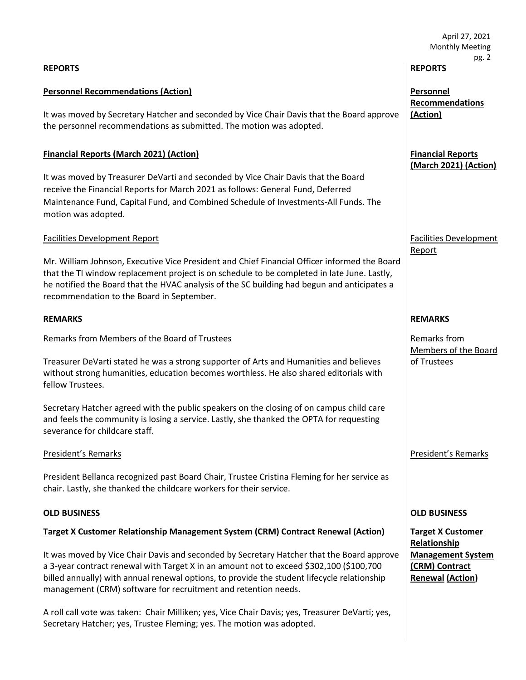|                                                                                                                                                                                                                                                                                                                                                       | April 27, 2021<br><b>Monthly Meeting</b>                              |  |
|-------------------------------------------------------------------------------------------------------------------------------------------------------------------------------------------------------------------------------------------------------------------------------------------------------------------------------------------------------|-----------------------------------------------------------------------|--|
| <b>REPORTS</b>                                                                                                                                                                                                                                                                                                                                        | pg. 2<br><b>REPORTS</b>                                               |  |
| <b>Personnel Recommendations (Action)</b>                                                                                                                                                                                                                                                                                                             | Personnel<br><b>Recommendations</b>                                   |  |
| It was moved by Secretary Hatcher and seconded by Vice Chair Davis that the Board approve<br>the personnel recommendations as submitted. The motion was adopted.                                                                                                                                                                                      | (Action)                                                              |  |
| <b>Financial Reports (March 2021) (Action)</b>                                                                                                                                                                                                                                                                                                        | <b>Financial Reports</b><br>(March 2021) (Action)                     |  |
| It was moved by Treasurer DeVarti and seconded by Vice Chair Davis that the Board<br>receive the Financial Reports for March 2021 as follows: General Fund, Deferred<br>Maintenance Fund, Capital Fund, and Combined Schedule of Investments-All Funds. The<br>motion was adopted.                                                                    |                                                                       |  |
| <b>Facilities Development Report</b>                                                                                                                                                                                                                                                                                                                  | <b>Facilities Development</b><br>Report                               |  |
| Mr. William Johnson, Executive Vice President and Chief Financial Officer informed the Board<br>that the TI window replacement project is on schedule to be completed in late June. Lastly,<br>he notified the Board that the HVAC analysis of the SC building had begun and anticipates a<br>recommendation to the Board in September.               |                                                                       |  |
| <b>REMARKS</b>                                                                                                                                                                                                                                                                                                                                        | <b>REMARKS</b>                                                        |  |
| Remarks from Members of the Board of Trustees                                                                                                                                                                                                                                                                                                         | Remarks from<br>Members of the Board                                  |  |
| Treasurer DeVarti stated he was a strong supporter of Arts and Humanities and believes<br>without strong humanities, education becomes worthless. He also shared editorials with<br>fellow Trustees.                                                                                                                                                  | of Trustees                                                           |  |
| Secretary Hatcher agreed with the public speakers on the closing of on campus child care<br>and feels the community is losing a service. Lastly, she thanked the OPTA for requesting<br>severance for childcare staff.                                                                                                                                |                                                                       |  |
| President's Remarks                                                                                                                                                                                                                                                                                                                                   | <b>President's Remarks</b>                                            |  |
| President Bellanca recognized past Board Chair, Trustee Cristina Fleming for her service as<br>chair. Lastly, she thanked the childcare workers for their service.                                                                                                                                                                                    |                                                                       |  |
| <b>OLD BUSINESS</b>                                                                                                                                                                                                                                                                                                                                   | <b>OLD BUSINESS</b>                                                   |  |
| <b>Target X Customer Relationship Management System (CRM) Contract Renewal (Action)</b>                                                                                                                                                                                                                                                               | <b>Target X Customer</b><br>Relationship                              |  |
| It was moved by Vice Chair Davis and seconded by Secretary Hatcher that the Board approve<br>a 3-year contract renewal with Target X in an amount not to exceed \$302,100 (\$100,700<br>billed annually) with annual renewal options, to provide the student lifecycle relationship<br>management (CRM) software for recruitment and retention needs. | <b>Management System</b><br>(CRM) Contract<br><b>Renewal (Action)</b> |  |
| A roll call vote was taken: Chair Milliken; yes, Vice Chair Davis; yes, Treasurer DeVarti; yes,<br>Secretary Hatcher; yes, Trustee Fleming; yes. The motion was adopted.                                                                                                                                                                              |                                                                       |  |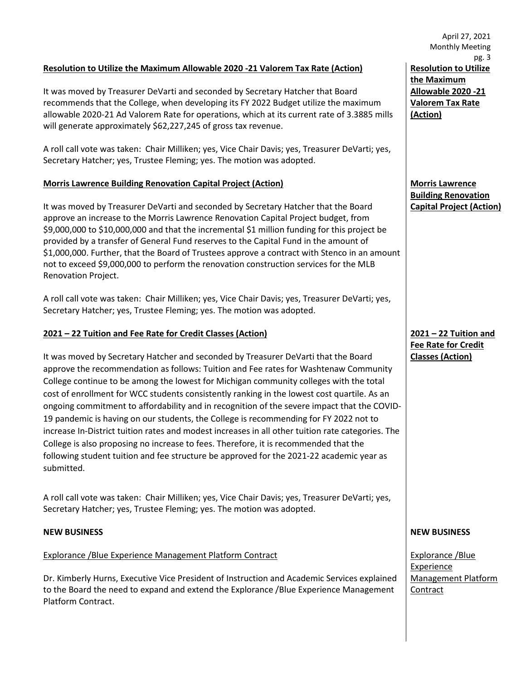#### **Resolution to Utilize the Maximum Allowable 2020 -21 Valorem Tax Rate (Action)**

It was moved by Treasurer DeVarti and seconded by Secretary Hatcher that Board recommends that the College, when developing its FY 2022 Budget utilize the maximum allowable 2020-21 Ad Valorem Rate for operations, which at its current rate of 3.3885 mills will generate approximately \$62,227,245 of gross tax revenue.

A roll call vote was taken: Chair Milliken; yes, Vice Chair Davis; yes, Treasurer DeVarti; yes, Secretary Hatcher; yes, Trustee Fleming; yes. The motion was adopted.

#### **Morris Lawrence Building Renovation Capital Project (Action)**

It was moved by Treasurer DeVarti and seconded by Secretary Hatcher that the Board approve an increase to the Morris Lawrence Renovation Capital Project budget, from \$9,000,000 to \$10,000,000 and that the incremental \$1 million funding for this project be provided by a transfer of General Fund reserves to the Capital Fund in the amount of \$1,000,000. Further, that the Board of Trustees approve a contract with Stenco in an amount not to exceed \$9,000,000 to perform the renovation construction services for the MLB Renovation Project.

A roll call vote was taken: Chair Milliken; yes, Vice Chair Davis; yes, Treasurer DeVarti; yes, Secretary Hatcher; yes, Trustee Fleming; yes. The motion was adopted.

#### **2021 – 22 Tuition and Fee Rate for Credit Classes (Action)**

It was moved by Secretary Hatcher and seconded by Treasurer DeVarti that the Board approve the recommendation as follows: Tuition and Fee rates for Washtenaw Community College continue to be among the lowest for Michigan community colleges with the total cost of enrollment for WCC students consistently ranking in the lowest cost quartile. As an ongoing commitment to affordability and in recognition of the severe impact that the COVID-19 pandemic is having on our students, the College is recommending for FY 2022 not to increase In-District tuition rates and modest increases in all other tuition rate categories. The College is also proposing no increase to fees. Therefore, it is recommended that the following student tuition and fee structure be approved for the 2021-22 academic year as submitted.

A roll call vote was taken: Chair Milliken; yes, Vice Chair Davis; yes, Treasurer DeVarti; yes, Secretary Hatcher; yes, Trustee Fleming; yes. The motion was adopted.

#### Explorance /Blue Experience Management Platform Contract

Dr. Kimberly Hurns, Executive Vice President of Instruction and Academic Services explained to the Board the need to expand and extend the Explorance /Blue Experience Management Platform Contract.

April 27, 2021 Monthly Meeting pg. 3 **Resolution to Utilize the Maximum Allowable 2020 -21 Valorem Tax Rate (Action)**

**Morris Lawrence Building Renovation Capital Project (Action)**

**2021 – 22 Tuition and Fee Rate for Credit Classes (Action)**

#### **NEW BUSINESS NEW BUSINESS**

Explorance /Blue Experience Management Platform **Contract**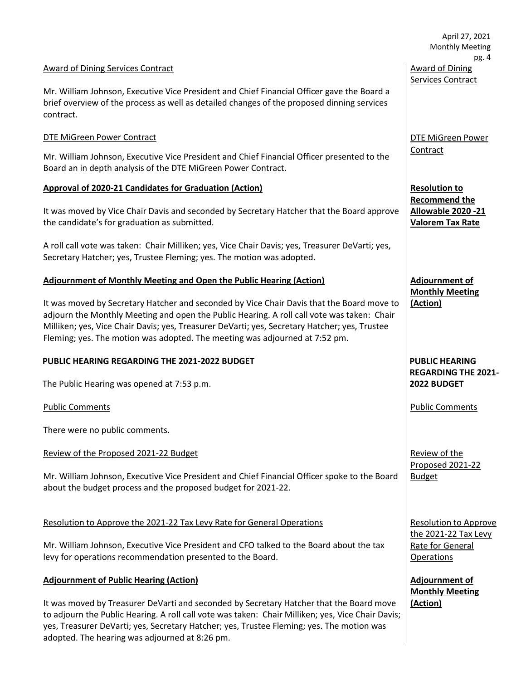|                                                                                                                                                                                                                                                                                                                                                                         | April 27, 2021<br><b>Monthly Meeting</b><br>pg. 4                      |  |
|-------------------------------------------------------------------------------------------------------------------------------------------------------------------------------------------------------------------------------------------------------------------------------------------------------------------------------------------------------------------------|------------------------------------------------------------------------|--|
| <b>Award of Dining Services Contract</b>                                                                                                                                                                                                                                                                                                                                | <b>Award of Dining</b>                                                 |  |
| Mr. William Johnson, Executive Vice President and Chief Financial Officer gave the Board a<br>brief overview of the process as well as detailed changes of the proposed dinning services<br>contract.                                                                                                                                                                   | <b>Services Contract</b>                                               |  |
| DTE MiGreen Power Contract                                                                                                                                                                                                                                                                                                                                              | DTE MiGreen Power                                                      |  |
| Mr. William Johnson, Executive Vice President and Chief Financial Officer presented to the<br>Board an in depth analysis of the DTE MiGreen Power Contract.                                                                                                                                                                                                             | Contract                                                               |  |
| <b>Approval of 2020-21 Candidates for Graduation (Action)</b>                                                                                                                                                                                                                                                                                                           | <b>Resolution to</b>                                                   |  |
| It was moved by Vice Chair Davis and seconded by Secretary Hatcher that the Board approve<br>the candidate's for graduation as submitted.                                                                                                                                                                                                                               | <b>Recommend the</b><br>Allowable 2020 - 21<br><b>Valorem Tax Rate</b> |  |
| A roll call vote was taken: Chair Milliken; yes, Vice Chair Davis; yes, Treasurer DeVarti; yes,<br>Secretary Hatcher; yes, Trustee Fleming; yes. The motion was adopted.                                                                                                                                                                                                |                                                                        |  |
| <b>Adjournment of Monthly Meeting and Open the Public Hearing (Action)</b>                                                                                                                                                                                                                                                                                              | <b>Adjournment of</b>                                                  |  |
| It was moved by Secretary Hatcher and seconded by Vice Chair Davis that the Board move to<br>adjourn the Monthly Meeting and open the Public Hearing. A roll call vote was taken: Chair<br>Milliken; yes, Vice Chair Davis; yes, Treasurer DeVarti; yes, Secretary Hatcher; yes, Trustee<br>Fleming; yes. The motion was adopted. The meeting was adjourned at 7:52 pm. | <b>Monthly Meeting</b><br>(Action)                                     |  |
| PUBLIC HEARING REGARDING THE 2021-2022 BUDGET                                                                                                                                                                                                                                                                                                                           | <b>PUBLIC HEARING</b>                                                  |  |
| The Public Hearing was opened at 7:53 p.m.                                                                                                                                                                                                                                                                                                                              | <b>REGARDING THE 2021-</b><br>2022 BUDGET                              |  |
| <b>Public Comments</b>                                                                                                                                                                                                                                                                                                                                                  | <b>Public Comments</b>                                                 |  |
| There were no public comments.                                                                                                                                                                                                                                                                                                                                          |                                                                        |  |
| Review of the Proposed 2021-22 Budget                                                                                                                                                                                                                                                                                                                                   | Review of the                                                          |  |
| Mr. William Johnson, Executive Vice President and Chief Financial Officer spoke to the Board<br>about the budget process and the proposed budget for 2021-22.                                                                                                                                                                                                           | Proposed 2021-22<br><b>Budget</b>                                      |  |
| Resolution to Approve the 2021-22 Tax Levy Rate for General Operations                                                                                                                                                                                                                                                                                                  | <b>Resolution to Approve</b>                                           |  |
| Mr. William Johnson, Executive Vice President and CFO talked to the Board about the tax<br>levy for operations recommendation presented to the Board.                                                                                                                                                                                                                   | the 2021-22 Tax Levy<br>Rate for General<br><b>Operations</b>          |  |
| <b>Adjournment of Public Hearing (Action)</b>                                                                                                                                                                                                                                                                                                                           | <b>Adjournment of</b><br><b>Monthly Meeting</b>                        |  |
| It was moved by Treasurer DeVarti and seconded by Secretary Hatcher that the Board move<br>to adjourn the Public Hearing. A roll call vote was taken: Chair Milliken; yes, Vice Chair Davis;<br>yes, Treasurer DeVarti; yes, Secretary Hatcher; yes, Trustee Fleming; yes. The motion was<br>adopted. The hearing was adjourned at 8:26 pm.                             | (Action)                                                               |  |